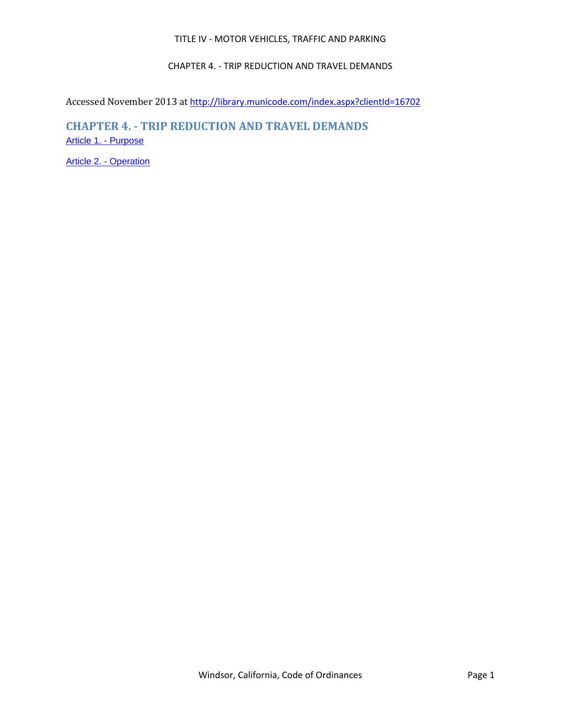## TITLE IV - MOTOR VEHICLES, TRAFFIC AND PARKING

## CHAPTER 4. - TRIP REDUCTION AND TRAVEL DEMANDS

Accessed November 2013 at <http://library.municode.com/index.aspx?clientId=16702>

# **CHAPTER 4. - TRIP REDUCTION AND TRAVEL DEMANDS** [Article 1. -](file:///C:/Users/georggi/level3/TITIVMOVETRPA_CH4TRRETRDE_ART1PU.docx) Purpose

[Article 2. -](file:///C:/Users/georggi/level3/TITIVMOVETRPA_CH4TRRETRDE_ART2OP.docx) Operation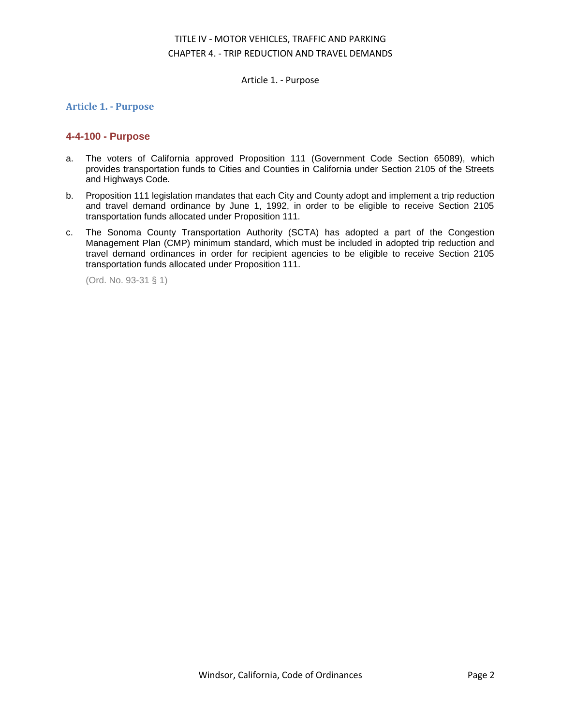## TITLE IV - MOTOR VEHICLES, TRAFFIC AND PARKING CHAPTER 4. - TRIP REDUCTION AND TRAVEL DEMANDS

Article 1. - Purpose

## **Article 1. - Purpose**

## **4-4-100 - Purpose**

- a. The voters of California approved Proposition 111 (Government Code Section 65089), which provides transportation funds to Cities and Counties in California under Section 2105 of the Streets and Highways Code.
- b. Proposition 111 legislation mandates that each City and County adopt and implement a trip reduction and travel demand ordinance by June 1, 1992, in order to be eligible to receive Section 2105 transportation funds allocated under Proposition 111.
- c. The Sonoma County Transportation Authority (SCTA) has adopted a part of the Congestion Management Plan (CMP) minimum standard, which must be included in adopted trip reduction and travel demand ordinances in order for recipient agencies to be eligible to receive Section 2105 transportation funds allocated under Proposition 111.

(Ord. No. 93-31 § 1)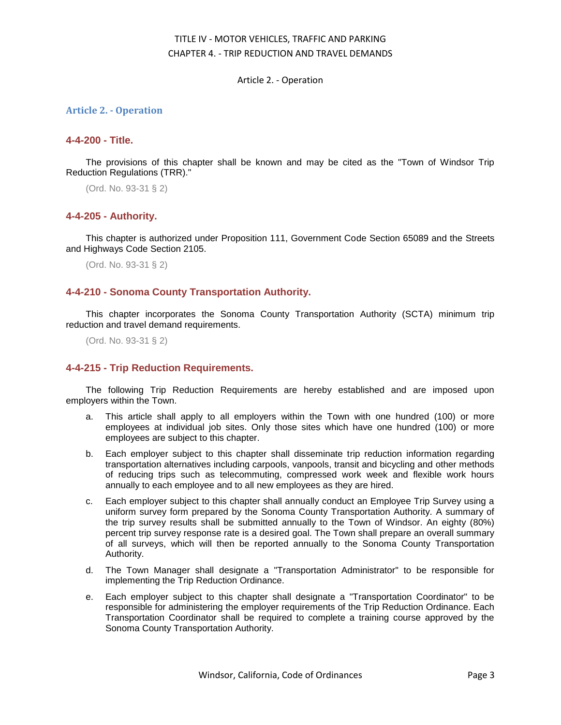## TITLE IV - MOTOR VEHICLES, TRAFFIC AND PARKING CHAPTER 4. - TRIP REDUCTION AND TRAVEL DEMANDS

Article 2. - Operation

### **Article 2. - Operation**

#### **4-4-200 - Title.**

The provisions of this chapter shall be known and may be cited as the "Town of Windsor Trip Reduction Regulations (TRR)."

(Ord. No. 93-31 § 2)

### **4-4-205 - Authority.**

This chapter is authorized under Proposition 111, Government Code Section 65089 and the Streets and Highways Code Section 2105.

(Ord. No. 93-31 § 2)

## **4-4-210 - Sonoma County Transportation Authority.**

This chapter incorporates the Sonoma County Transportation Authority (SCTA) minimum trip reduction and travel demand requirements.

(Ord. No. 93-31 § 2)

## **4-4-215 - Trip Reduction Requirements.**

The following Trip Reduction Requirements are hereby established and are imposed upon employers within the Town.

- a. This article shall apply to all employers within the Town with one hundred (100) or more employees at individual job sites. Only those sites which have one hundred (100) or more employees are subject to this chapter.
- b. Each employer subject to this chapter shall disseminate trip reduction information regarding transportation alternatives including carpools, vanpools, transit and bicycling and other methods of reducing trips such as telecommuting, compressed work week and flexible work hours annually to each employee and to all new employees as they are hired.
- c. Each employer subject to this chapter shall annually conduct an Employee Trip Survey using a uniform survey form prepared by the Sonoma County Transportation Authority. A summary of the trip survey results shall be submitted annually to the Town of Windsor. An eighty (80%) percent trip survey response rate is a desired goal. The Town shall prepare an overall summary of all surveys, which will then be reported annually to the Sonoma County Transportation Authority.
- d. The Town Manager shall designate a "Transportation Administrator" to be responsible for implementing the Trip Reduction Ordinance.
- e. Each employer subject to this chapter shall designate a "Transportation Coordinator" to be responsible for administering the employer requirements of the Trip Reduction Ordinance. Each Transportation Coordinator shall be required to complete a training course approved by the Sonoma County Transportation Authority.